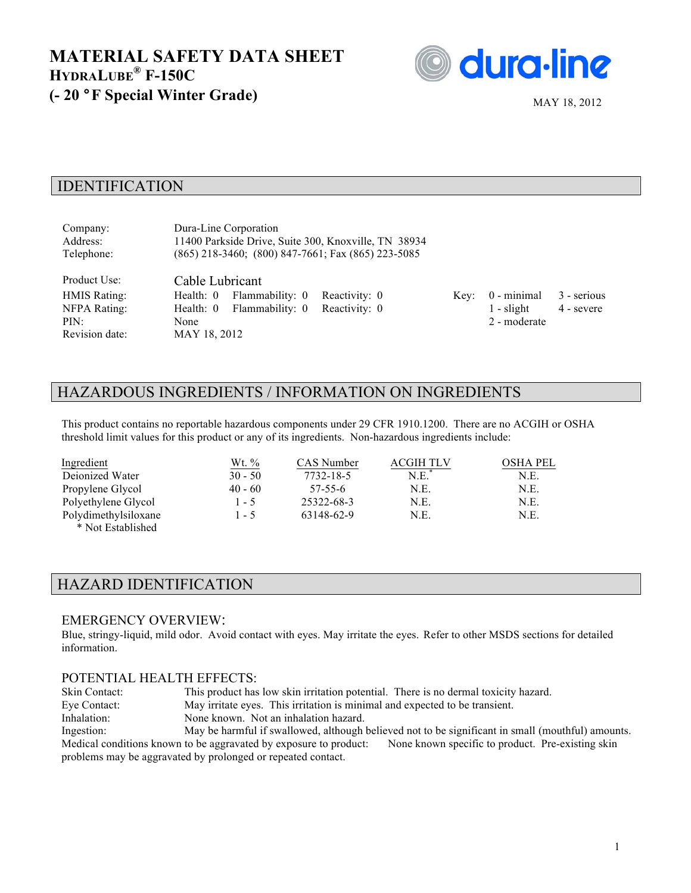

### IDENTIFICATION

| Company:<br>Address:<br>Telephone:                                            | Dura-Line Corporation<br>11400 Parkside Drive, Suite 300, Knoxville, TN 38934<br>$(865)$ 218-3460; $(800)$ 847-7661; Fax $(865)$ 223-5085 |                                |      |                                             |                           |
|-------------------------------------------------------------------------------|-------------------------------------------------------------------------------------------------------------------------------------------|--------------------------------|------|---------------------------------------------|---------------------------|
| Product Use:<br><b>HMIS Rating:</b><br>NFPA Rating:<br>PIN:<br>Revision date: | Cable Lubricant<br>Flammability: 0<br>Health: 0<br>Flammability: 0<br>Health: $0$<br>None<br>MAY 18, 2012                                 | Reactivity: 0<br>Reactivity: 0 | Key: | 0 - minimal<br>$1 -$ slight<br>2 - moderate | 3 - serious<br>4 - severe |

# HAZARDOUS INGREDIENTS / INFORMATION ON INGREDIENTS

This product contains no reportable hazardous components under 29 CFR 1910.1200. There are no ACGIH or OSHA threshold limit values for this product or any of its ingredients. Non-hazardous ingredients include:

| Ingredient                                  | Wt. %     | CAS Number | ACGIH TLV | OSHA PEL |
|---------------------------------------------|-----------|------------|-----------|----------|
| Deionized Water                             | $30 - 50$ | 7732-18-5  | N.E.      | N.E.     |
| Propylene Glycol                            | $40 - 60$ | 57-55-6    | N.E.      | N.E.     |
| Polyethylene Glycol                         | $1 - 5$   | 25322-68-3 | N.E.      | N.E.     |
| Polydimethylsiloxane<br>$4.37 \cdot 17.111$ | 1 - 5     | 63148-62-9 | N.E.      | N.E.     |

\* Not Established

## HAZARD IDENTIFICATION

#### EMERGENCY OVERVIEW:

Blue, stringy-liquid, mild odor. Avoid contact with eyes. May irritate the eyes. Refer to other MSDS sections for detailed information.

### POTENTIAL HEALTH EFFECTS:

Skin Contact: This product has low skin irritation potential. There is no dermal toxicity hazard. Eye Contact: May irritate eyes. This irritation is minimal and expected to be transient. Inhalation: None known. Not an inhalation hazard. Ingestion: May be harmful if swallowed, although believed not to be significant in small (mouthful) amounts. Medical conditions known to be aggravated by exposure to product: None known specific to product. Pre-existing skin

problems may be aggravated by prolonged or repeated contact.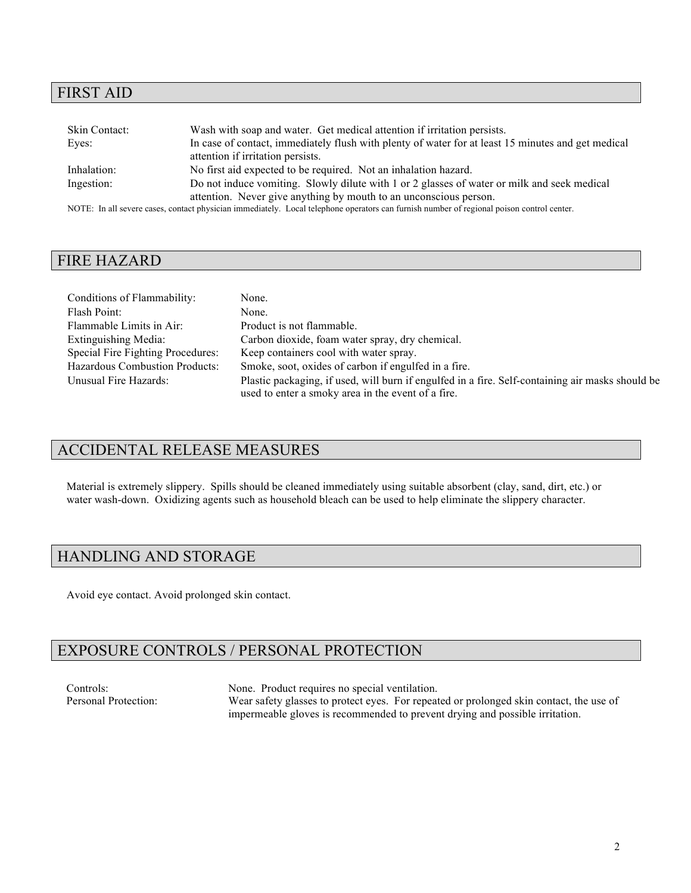## FIRST AID

| Skin Contact: | Wash with soap and water. Get medical attention if irritation persists.                                                                   |
|---------------|-------------------------------------------------------------------------------------------------------------------------------------------|
| Eyes:         | In case of contact, immediately flush with plenty of water for at least 15 minutes and get medical                                        |
|               | attention if irritation persists.                                                                                                         |
| Inhalation:   | No first aid expected to be required. Not an inhalation hazard.                                                                           |
| Ingestion:    | Do not induce vomiting. Slowly dilute with 1 or 2 glasses of water or milk and seek medical                                               |
|               | attention. Never give anything by mouth to an unconscious person.                                                                         |
|               | NOTE: In all severe cases, contact physician immediately. Local telephone operators can furnish number of regional poison control center. |

### FIRE HAZARD

| Conditions of Flammability:           | None.                                                                                            |
|---------------------------------------|--------------------------------------------------------------------------------------------------|
| Flash Point:                          | None.                                                                                            |
| Flammable Limits in Air:              | Product is not flammable.                                                                        |
| Extinguishing Media:                  | Carbon dioxide, foam water spray, dry chemical.                                                  |
| Special Fire Fighting Procedures:     | Keep containers cool with water spray.                                                           |
| <b>Hazardous Combustion Products:</b> | Smoke, soot, oxides of carbon if engulfed in a fire.                                             |
| Unusual Fire Hazards:                 | Plastic packaging, if used, will burn if engulfed in a fire. Self-containing air masks should be |
|                                       | used to enter a smoky area in the event of a fire.                                               |

# ACCIDENTAL RELEASE MEASURES

Material is extremely slippery. Spills should be cleaned immediately using suitable absorbent (clay, sand, dirt, etc.) or water wash-down. Oxidizing agents such as household bleach can be used to help eliminate the slippery character.

# HANDLING AND STORAGE

Avoid eye contact. Avoid prolonged skin contact.

# EXPOSURE CONTROLS / PERSONAL PROTECTION

Controls: None. Product requires no special ventilation.<br>
Personal Protection: Wear safety glasses to protect eves. For repeating the special ventilation. Wear safety glasses to protect eyes. For repeated or prolonged skin contact, the use of impermeable gloves is recommended to prevent drying and possible irritation.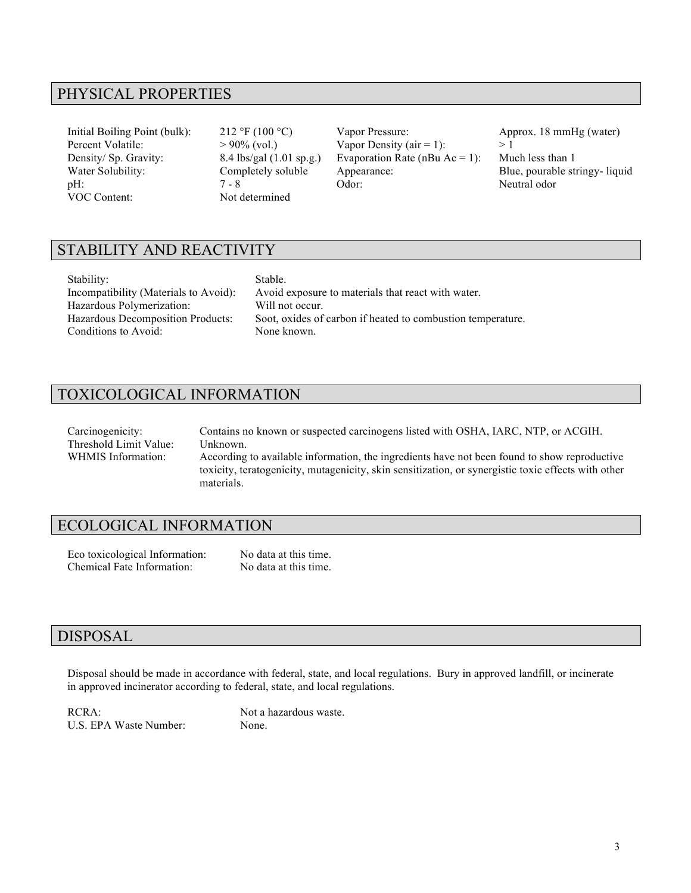## PHYSICAL PROPERTIES

VOC Content: Not determined

Initial Boiling Point (bulk): 212 °F (100 °C) Vapor Pressure: Approx. 18 mmHg (water) Percent Volatile:  $> 90\%$  (vol.) Vapor Density (air = 1):  $> 1$ Density/ Sp. Gravity: 8.4 lbs/gal (1.01 sp.g.) Evaporation Rate (nBu Ac = 1): Much less than 1 Water Solubility: Completely soluble Appearance: Blue, pourable stringy- liquid pH:  $7 - 8$  Odor: Neutral odor

## STABILITY AND REACTIVITY

| Stability:                            |
|---------------------------------------|
| Incompatibility (Materials to Avoid): |
| Hazardous Polymerization:             |
| Hazardous Decomposition Products:     |
| Conditions to Avoid:                  |

Stable. Avoid exposure to materials that react with water. Will not occur. Soot, oxides of carbon if heated to combustion temperature. None known.

# TOXICOLOGICAL INFORMATION

| Carcinogenicity:       | Contains no known or suspected carcinogens listed with OSHA, IARC, NTP, or ACGIH.                   |
|------------------------|-----------------------------------------------------------------------------------------------------|
| Threshold Limit Value: | Unknown.                                                                                            |
| WHMIS Information:     | According to available information, the ingredients have not been found to show reproductive        |
|                        | toxicity, teratogenicity, mutagenicity, skin sensitization, or synergistic toxic effects with other |
|                        | materials                                                                                           |

## ECOLOGICAL INFORMATION

Eco toxicological Information: No data at this time. Chemical Fate Information: No data at this time.

### DISPOSAL

Disposal should be made in accordance with federal, state, and local regulations. Bury in approved landfill, or incinerate in approved incinerator according to federal, state, and local regulations.

U.S. EPA Waste Number: None.

RCRA: Not a hazardous waste.